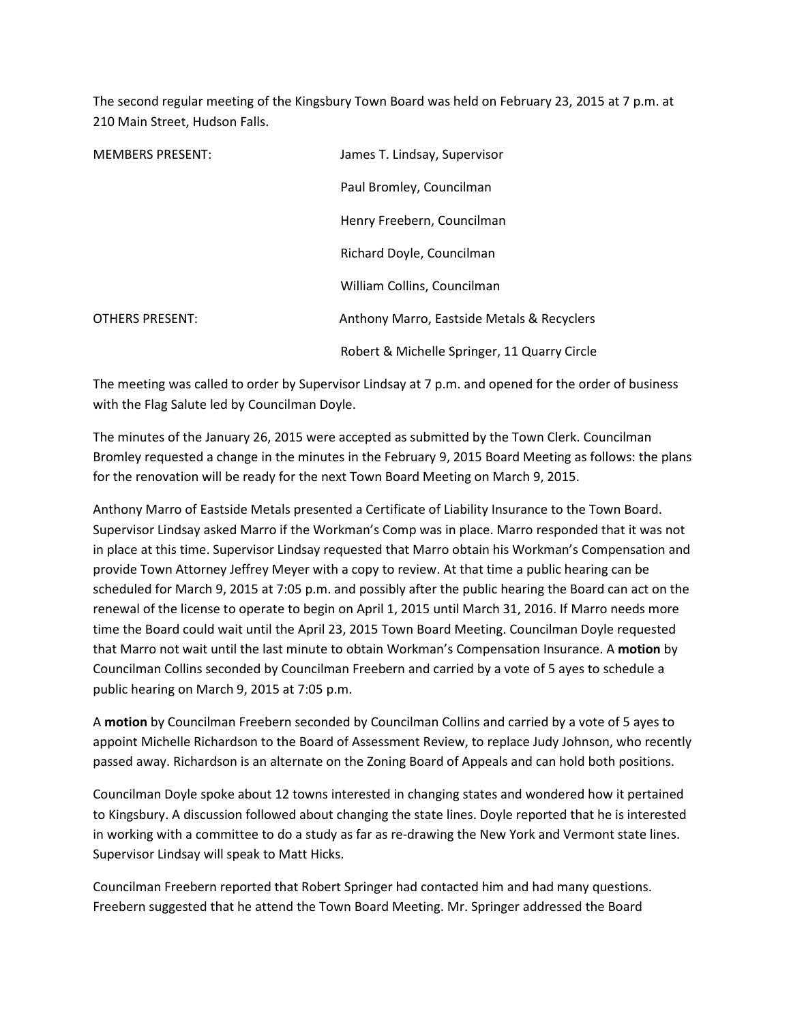The second regular meeting of the Kingsbury Town Board was held on February 23, 2015 at 7 p.m. at 210 Main Street, Hudson Falls.

| <b>MEMBERS PRESENT:</b> | James T. Lindsay, Supervisor                 |
|-------------------------|----------------------------------------------|
|                         | Paul Bromley, Councilman                     |
|                         | Henry Freebern, Councilman                   |
|                         | Richard Doyle, Councilman                    |
|                         | William Collins, Councilman                  |
| <b>OTHERS PRESENT:</b>  | Anthony Marro, Eastside Metals & Recyclers   |
|                         | Robert & Michelle Springer, 11 Quarry Circle |

The meeting was called to order by Supervisor Lindsay at 7 p.m. and opened for the order of business with the Flag Salute led by Councilman Doyle.

The minutes of the January 26, 2015 were accepted as submitted by the Town Clerk. Councilman Bromley requested a change in the minutes in the February 9, 2015 Board Meeting as follows: the plans for the renovation will be ready for the next Town Board Meeting on March 9, 2015.

Anthony Marro of Eastside Metals presented a Certificate of Liability Insurance to the Town Board. Supervisor Lindsay asked Marro if the Workman's Comp was in place. Marro responded that it was not in place at this time. Supervisor Lindsay requested that Marro obtain his Workman's Compensation and provide Town Attorney Jeffrey Meyer with a copy to review. At that time a public hearing can be scheduled for March 9, 2015 at 7:05 p.m. and possibly after the public hearing the Board can act on the renewal of the license to operate to begin on April 1, 2015 until March 31, 2016. If Marro needs more time the Board could wait until the April 23, 2015 Town Board Meeting. Councilman Doyle requested that Marro not wait until the last minute to obtain Workman's Compensation Insurance. A **motion** by Councilman Collins seconded by Councilman Freebern and carried by a vote of 5 ayes to schedule a public hearing on March 9, 2015 at 7:05 p.m.

A **motion** by Councilman Freebern seconded by Councilman Collins and carried by a vote of 5 ayes to appoint Michelle Richardson to the Board of Assessment Review, to replace Judy Johnson, who recently passed away. Richardson is an alternate on the Zoning Board of Appeals and can hold both positions.

Councilman Doyle spoke about 12 towns interested in changing states and wondered how it pertained to Kingsbury. A discussion followed about changing the state lines. Doyle reported that he is interested in working with a committee to do a study as far as re-drawing the New York and Vermont state lines. Supervisor Lindsay will speak to Matt Hicks.

Councilman Freebern reported that Robert Springer had contacted him and had many questions. Freebern suggested that he attend the Town Board Meeting. Mr. Springer addressed the Board